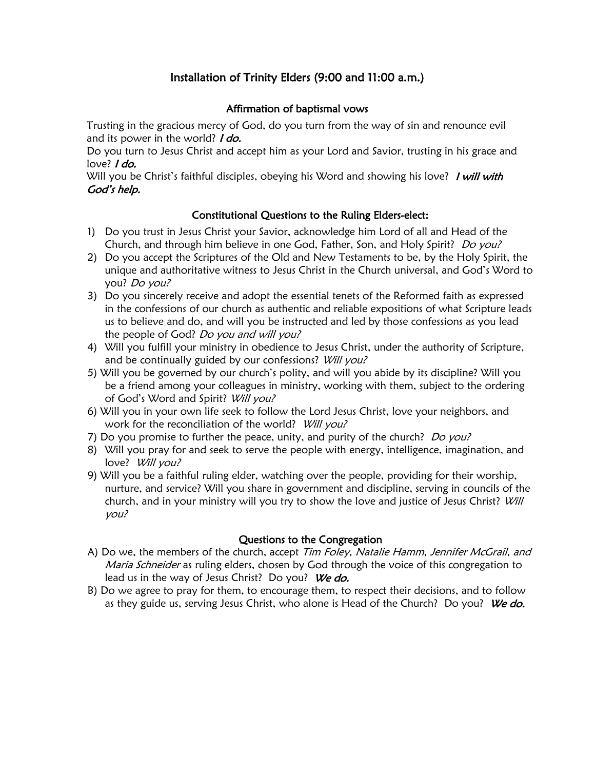# Installation of Trinity Elders (9:00 and 11:00 a.m.)

## Affirmation of baptismal vows

Trusting in the gracious mercy of God, do you turn from the way of sin and renounce evil and its power in the world? *I do.* 

Do you turn to Jesus Christ and accept him as your Lord and Savior, trusting in his grace and love? *I do.* 

Will you be Christ's faithful disciples, obeying his Word and showing his love? I will with God's help.

# Constitutional Questions to the Ruling Elders-elect:

- 1) Do you trust in Jesus Christ your Savior, acknowledge him Lord of all and Head of the Church, and through him believe in one God, Father, Son, and Holy Spirit? Do you?
- 2) Do you accept the Scriptures of the Old and New Testaments to be, by the Holy Spirit, the unique and authoritative witness to Jesus Christ in the Church universal, and God's Word to you? Do you?
- 3) Do you sincerely receive and adopt the essential tenets of the Reformed faith as expressed in the confessions of our church as authentic and reliable expositions of what Scripture leads us to believe and do, and will you be instructed and led by those confessions as you lead the people of God? Do you and will you?
- 4) Will you fulfill your ministry in obedience to Jesus Christ, under the authority of Scripture, and be continually guided by our confessions? Will you?
- 5) Will you be governed by our church's polity, and will you abide by its discipline? Will you be a friend among your colleagues in ministry, working with them, subject to the ordering of God's Word and Spirit? Will you?
- 6) Will you in your own life seek to follow the Lord Jesus Christ, love your neighbors, and work for the reconciliation of the world? Will you?
- 7) Do you promise to further the peace, unity, and purity of the church? Do you?
- 8) Will you pray for and seek to serve the people with energy, intelligence, imagination, and love? Will you?
- 9) Will you be a faithful ruling elder, watching over the people, providing for their worship, nurture, and service? Will you share in government and discipline, serving in councils of the church, and in your ministry will you try to show the love and justice of Jesus Christ? Will you?

#### Questions to the Congregation

- A) Do we, the members of the church, accept Tim Foley, Natalie Hamm, Jennifer McGrail, and Maria Schneider as ruling elders, chosen by God through the voice of this congregation to lead us in the way of Jesus Christ? Do you? We do.
- B) Do we agree to pray for them, to encourage them, to respect their decisions, and to follow as they guide us, serving Jesus Christ, who alone is Head of the Church? Do you? We do.